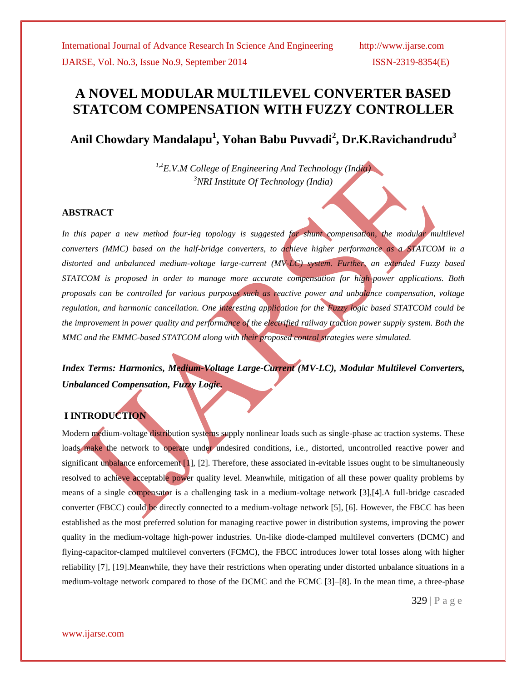# **A NOVEL MODULAR MULTILEVEL CONVERTER BASED STATCOM COMPENSATION WITH FUZZY CONTROLLER**

**Anil Chowdary Mandalapu<sup>1</sup> , Yohan Babu Puvvadi<sup>2</sup> , Dr.K.Ravichandrudu<sup>3</sup>**

*1,2E.V.M College of Engineering And Technology (India) <sup>3</sup>NRI Institute Of Technology (India)*

## **ABSTRACT**

In this paper a new method four-leg topology is suggested for shunt compensation, the modular multilevel *converters (MMC) based on the half-bridge converters, to achieve higher performance as a STATCOM in a distorted and unbalanced medium-voltage large-current (MV-LC) system. Further, an extended Fuzzy based STATCOM is proposed in order to manage more accurate compensation for high-power applications. Both proposals can be controlled for various purposes such as reactive power and unbalance compensation, voltage regulation, and harmonic cancellation. One interesting application for the Fuzzy logic based STATCOM could be the improvement in power quality and performance of the electrified railway traction power supply system. Both the MMC and the EMMC-based STATCOM along with their proposed control strategies were simulated.*

*Index Terms: Harmonics, Medium-Voltage Large-Current (MV-LC), Modular Multilevel Converters, Unbalanced Compensation, Fuzzy Logic.*

## **I INTRODUCTION**

Modern medium-voltage distribution systems supply nonlinear loads such as single-phase ac traction systems. These loads make the network to operate under undesired conditions, i.e., distorted, uncontrolled reactive power and significant unbalance enforcement [1], [2]. Therefore, these associated in-evitable issues ought to be simultaneously resolved to achieve acceptable power quality level. Meanwhile, mitigation of all these power quality problems by means of a single compensator is a challenging task in a medium-voltage network [3],[4].A full-bridge cascaded converter (FBCC) could be directly connected to a medium-voltage network [5], [6]. However, the FBCC has been established as the most preferred solution for managing reactive power in distribution systems, improving the power quality in the medium-voltage high-power industries. Un-like diode-clamped multilevel converters (DCMC) and flying-capacitor-clamped multilevel converters (FCMC), the FBCC introduces lower total losses along with higher reliability [7], [19].Meanwhile, they have their restrictions when operating under distorted unbalance situations in a medium-voltage network compared to those of the DCMC and the FCMC [3]–[8]. In the mean time, a three-phase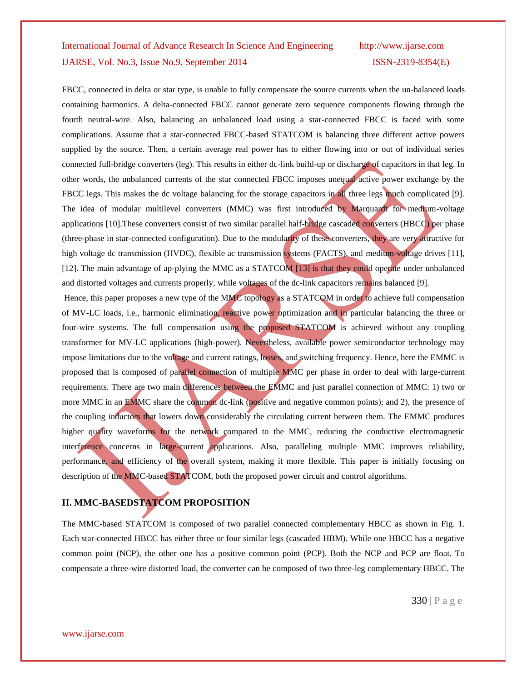FBCC, connected in delta or star type, is unable to fully compensate the source currents when the un-balanced loads containing harmonics. A delta-connected FBCC cannot generate zero sequence components flowing through the fourth neutral-wire. Also, balancing an unbalanced load using a star-connected FBCC is faced with some complications. Assume that a star-connected FBCC-based STATCOM is balancing three different active powers supplied by the source. Then, a certain average real power has to either flowing into or out of individual series connected full-bridge converters (leg). This results in either dc-link build-up or discharge of capacitors in that leg. In other words, the unbalanced currents of the star connected FBCC imposes unequal active power exchange by the FBCC legs. This makes the dc voltage balancing for the storage capacitors in all three legs much complicated [9]. The idea of modular multilevel converters (MMC) was first introduced by Marquardt for medium-voltage applications [10].These converters consist of two similar parallel half-bridge cascaded converters (HBCC) per phase (three-phase in star-connected configuration). Due to the modularity of these converters, they are very attractive for high voltage dc transmission (HVDC), flexible ac transmission systems (FACTS), and medium-voltage drives [11], [12]. The main advantage of ap-plying the MMC as a STATCOM [13] is that they could operate under unbalanced and distorted voltages and currents properly, while voltages of the dc-link capacitors remains balanced [9]. Hence, this paper proposes a new type of the MMC topology as a STATCOM in order to achieve full compensation of MV-LC loads, i.e., harmonic elimination, reactive power optimization and in particular balancing the three or four-wire systems. The full compensation using the proposed STATCOM is achieved without any coupling transformer for MV-LC applications (high-power). Nevertheless, available power semiconductor technology may impose limitations due to the voltage and current ratings, losses, and switching frequency. Hence, here the EMMC is proposed that is composed of parallel connection of multiple MMC per phase in order to deal with large-current

requirements. There are two main differences between the EMMC and just parallel connection of MMC: 1) two or more MMC in an EMMC share the common dc-link (positive and negative common points); and 2), the presence of the coupling inductors that lowers down considerably the circulating current between them. The EMMC produces higher quality waveforms for the network compared to the MMC, reducing the conductive electromagnetic interference concerns in large-current applications. Also, paralleling multiple MMC improves reliability, performance, and efficiency of the overall system, making it more flexible. This paper is initially focusing on description of the MMC-based STATCOM, both the proposed power circuit and control algorithms.

# **II. MMC-BASEDSTATCOM PROPOSITION**

The MMC-based STATCOM is composed of two parallel connected complementary HBCC as shown in Fig. 1. Each star-connected HBCC has either three or four similar legs (cascaded HBM). While one HBCC has a negative common point (NCP), the other one has a positive common point (PCP). Both the NCP and PCP are float. To compensate a three-wire distorted load, the converter can be composed of two three-leg complementary HBCC. The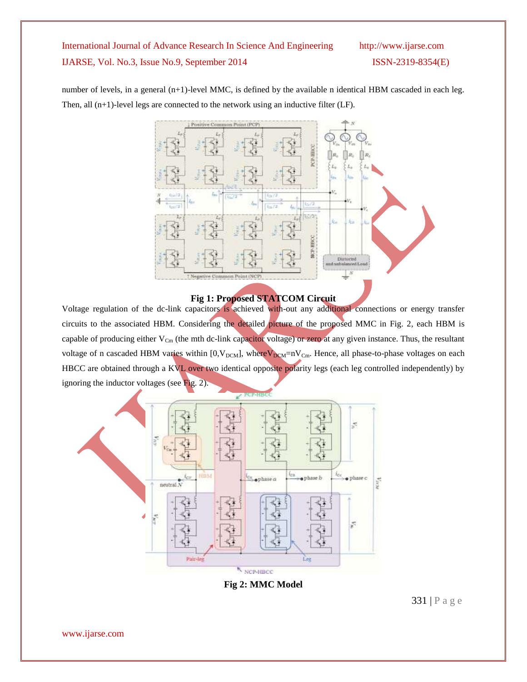number of levels, in a general (n+1)-level MMC, is defined by the available n identical HBM cascaded in each leg. Then, all (n+1)-level legs are connected to the network using an inductive filter (LF).



## **Fig 1: Proposed STATCOM Circuit**

Voltage regulation of the dc-link capacitors is achieved with-out any additional connections or energy transfer circuits to the associated HBM. Considering the detailed picture of the proposed MMC in Fig. 2, each HBM is capable of producing either  $V_{Cm}$  (the mth dc-link capacitor voltage) or zero at any given instance. Thus, the resultant voltage of n cascaded HBM varies within  $[0, V_{DCM}]$ , where  $V_{DCM}$ =nV<sub>Cm</sub>. Hence, all phase-to-phase voltages on each HBCC are obtained through a KVL over two identical opposite polarity legs (each leg controlled independently) by ignoring the inductor voltages (see Fig. 2).



**Fig 2: MMC Model**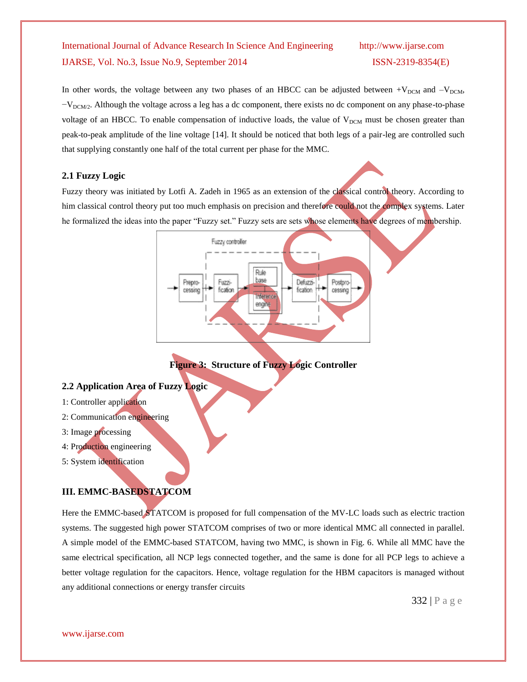In other words, the voltage between any two phases of an HBCC can be adjusted between  $+V_{DCM}$  and  $-V_{DCM}$ ,  $-V<sub>DCM/2</sub>$ . Although the voltage across a leg has a dc component, there exists no dc component on any phase-to-phase voltage of an HBCC. To enable compensation of inductive loads, the value of  $V_{DCM}$  must be chosen greater than peak-to-peak amplitude of the line voltage [14]. It should be noticed that both legs of a pair-leg are controlled such that supplying constantly one half of the total current per phase for the MMC.

# **2.1 Fuzzy Logic**

Fuzzy theory was initiated by Lotfi A. Zadeh in 1965 as an extension of the classical control theory. According to him classical control theory put too much emphasis on precision and therefore could not the complex systems. Later he formalized the ideas into the paper "Fuzzy set." Fuzzy sets are sets whose elements have degrees of membership.



**Figure 3: Structure of Fuzzy Logic Controller**

## **2.2 Application Area of Fuzzy Logic**

- 1: Controller application
- 2: Communication engineering
- 3: Image processing
- 4: Production engineering
- 5: System identification

# **III. EMMC-BASEDSTATCOM**

Here the EMMC-based STATCOM is proposed for full compensation of the MV-LC loads such as electric traction systems. The suggested high power STATCOM comprises of two or more identical MMC all connected in parallel. A simple model of the EMMC-based STATCOM, having two MMC, is shown in Fig. 6. While all MMC have the same electrical specification, all NCP legs connected together, and the same is done for all PCP legs to achieve a better voltage regulation for the capacitors. Hence, voltage regulation for the HBM capacitors is managed without any additional connections or energy transfer circuits

332 | P a g e

www.ijarse.com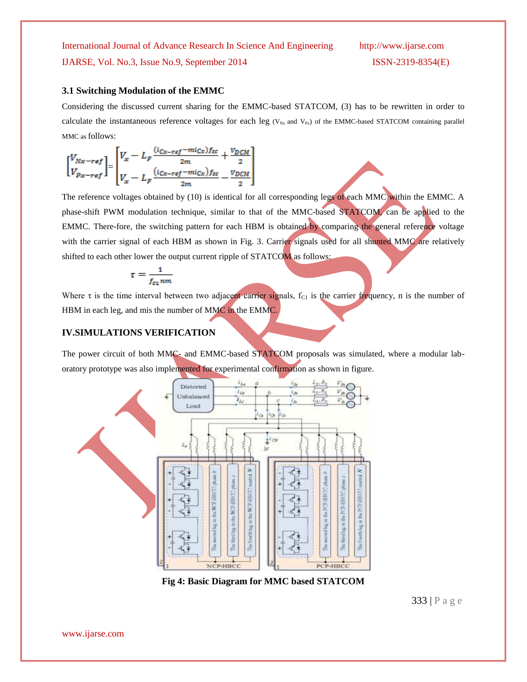### **3.1 Switching Modulation of the EMMC**

Considering the discussed current sharing for the EMMC-based STATCOM, (3) has to be rewritten in order to calculate the instantaneous reference voltages for each leg ( $V_{Nx}$  and  $V_{Px}$ ) of the EMMC-based STATCOM containing parallel MMC as follows:

$$
\begin{bmatrix} V_{Nx-ref} \ V_{x} - L_{F} \frac{(i_{Cx-ref} - mi_{Cx})f_{sc}}{2m} + \frac{v_{DCM}}{2} \\ V_{px-ref} \end{bmatrix}
$$

$$
V_{x} - L_{F} \frac{(i_{Cx-ref} - mi_{Cx})f_{sc}}{2m} - \frac{v_{DCM}}{2}
$$

The reference voltages obtained by (10) is identical for all corresponding legs of each MMC within the EMMC. A phase-shift PWM modulation technique, similar to that of the MMC-based STATCOM, can be applied to the EMMC. There-fore, the switching pattern for each HBM is obtained by comparing the general reference voltage with the carrier signal of each HBM as shown in Fig. 3. Carrier signals used for all shunted MMC are relatively shifted to each other lower the output current ripple of STATCOM as follows:

$$
\tau = \frac{1}{f_{c1}nm}
$$

Where  $\tau$  is the time interval between two adjacent carrier signals,  $f_{C1}$  is the carrier frequency, n is the number of HBM in each leg, and mis the number of MMC in the EMMC.

## **IV.SIMULATIONS VERIFICATION**

The power circuit of both MMC- and EMMC-based STATCOM proposals was simulated, where a modular laboratory prototype was also implemented for experimental confirmation as shown in figure.



**Fig 4: Basic Diagram for MMC based STATCOM**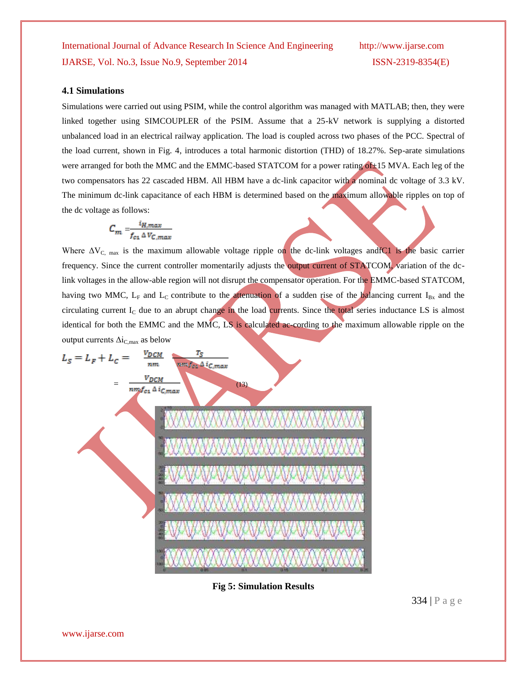## **4.1 Simulations**

Simulations were carried out using PSIM, while the control algorithm was managed with MATLAB; then, they were linked together using SIMCOUPLER of the PSIM. Assume that a 25-kV network is supplying a distorted unbalanced load in an electrical railway application. The load is coupled across two phases of the PCC. Spectral of the load current, shown in Fig. 4, introduces a total harmonic distortion (THD) of 18.27%. Sep-arate simulations were arranged for both the MMC and the EMMC-based STATCOM for a power rating of ±15 MVA. Each leg of the two compensators has 22 cascaded HBM. All HBM have a dc-link capacitor with a nominal dc voltage of 3.3 kV. The minimum dc-link capacitance of each HBM is determined based on the maximum allowable ripples on top of the dc voltage as follows:

$$
C_m = \frac{i_{H,max}}{f_{c1} \Delta V_{C,max}}
$$

Where  $\Delta V_{C, \text{max}}$  is the maximum allowable voltage ripple on the dc-link voltages and  $C1$  is the basic carrier frequency. Since the current controller momentarily adjusts the output current of STATCOM, variation of the dclink voltages in the allow-able region will not disrupt the compensator operation. For the EMMC-based STATCOM, having two MMC,  $L_F$  and  $L_C$  contribute to the attenuation of a sudden rise of the balancing current I<sub>Bx</sub> and the circulating current  $I_c$  due to an abrupt change in the load currents. Since the total series inductance LS is almost identical for both the EMMC and the MMC, LS is calculated ac-cording to the maximum allowable ripple on the output currents  $\Delta i_{C,max}$  as below

$$
L_{S} = L_{F} + L_{C} = \frac{V_{DCM}}{nm} \left(\frac{V_{DCM}}{nm} \right)
$$
\n
$$
M_{C} = \frac{V_{DCM}}{nm} \left(\frac{V_{DCM}}{nm} \right)
$$
\n
$$
M_{C} = \frac{V_{DCM}}{N} \left(\frac{V_{DCM}}{N} \right)
$$
\n
$$
M_{C} = \frac{V_{DCM}}{N} \left(\frac{V_{DCM}}{N} \right)
$$
\n
$$
M_{C} = \frac{V_{DCM}}{N} \left(\frac{V_{DCM}}{N} \right)
$$
\n
$$
M_{C} = \frac{V_{DCM}}{N} \left(\frac{V_{DCM}}{N} \right)
$$
\n
$$
M_{C} = \frac{V_{DCM}}{N} \left(\frac{V_{DCM}}{N} \right)
$$
\n
$$
M_{C} = \frac{V_{DCM}}{N} \left(\frac{V_{DCM}}{N} \right)
$$
\n
$$
M_{C} = \frac{V_{DCM}}{N} \left(\frac{V_{DCM}}{N} \right)
$$
\n
$$
M_{C} = \frac{V_{DCM}}{N} \left(\frac{V_{DCM}}{N} \right)
$$
\n
$$
M_{C} = \frac{V_{DCM}}{N} \left(\frac{V_{DCM}}{N} \right)
$$
\n
$$
M_{C} = \frac{V_{DCM}}{N} \left(\frac{V_{DCM}}{N} \right)
$$
\n
$$
M_{C} = \frac{V_{DCM}}{N} \left(\frac{V_{DCM}}{N} \right)
$$
\n
$$
M_{C} = \frac{V_{DCM}}{N} \left(\frac{V_{DCM}}{N} \right)
$$
\n
$$
M_{C} = \frac{V_{DCM}}{N} \left(\frac{V_{DCM}}{N} \right)
$$
\n
$$
M_{C} = \frac{V_{DCM}}{N} \left(\frac{V_{DCM}}{N} \right)
$$
\n
$$
M_{C} = \frac{V_{DCM}}{N} \left(\frac{V_{DCM}}{N} \right)
$$
\n
$$
M_{C} = \frac{V_{DCM}}{N} \left(\frac{V_{DCM}}{N} \right)
$$
\n
$$
M_{C} = \frac{V_{DC
$$

**Fig 5: Simulation Results**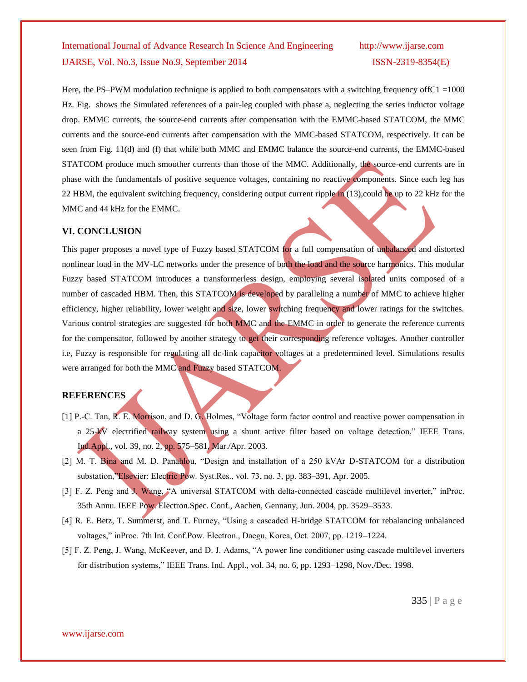Here, the PS–PWM modulation technique is applied to both compensators with a switching frequency offC1 =1000 Hz. Fig. shows the Simulated references of a pair-leg coupled with phase a, neglecting the series inductor voltage drop. EMMC currents, the source-end currents after compensation with the EMMC-based STATCOM, the MMC currents and the source-end currents after compensation with the MMC-based STATCOM, respectively. It can be seen from Fig. 11(d) and (f) that while both MMC and EMMC balance the source-end currents, the EMMC-based STATCOM produce much smoother currents than those of the MMC. Additionally, the source-end currents are in phase with the fundamentals of positive sequence voltages, containing no reactive components. Since each leg has 22 HBM, the equivalent switching frequency, considering output current ripple in (13), could be up to 22 kHz for the MMC and 44 kHz for the EMMC.

### **VI. CONCLUSION**

This paper proposes a novel type of Fuzzy based STATCOM for a full compensation of unbalanced and distorted nonlinear load in the MV-LC networks under the presence of both the load and the source harmonics. This modular Fuzzy based STATCOM introduces a transformerless design, employing several isolated units composed of a number of cascaded HBM. Then, this STATCOM is developed by paralleling a number of MMC to achieve higher efficiency, higher reliability, lower weight and size, lower switching frequency and lower ratings for the switches. Various control strategies are suggested for both MMC and the EMMC in order to generate the reference currents for the compensator, followed by another strategy to get their corresponding reference voltages. Another controller i.e, Fuzzy is responsible for regulating all dc-link capacitor voltages at a predetermined level. Simulations results were arranged for both the MMC and Fuzzy based STATCOM.

## **REFERENCES**

- [1] P.-C. Tan, R. E. Morrison, and D. G. Holmes, "Voltage form factor control and reactive power compensation in a 25-kV electrified railway system using a shunt active filter based on voltage detection," IEEE Trans. Ind.Appl., vol. 39, no. 2, pp. 575–581, Mar./Apr. 2003.
- [2] M. T. Bina and M. D. Panahlou, "Design and installation of a 250 kVAr D-STATCOM for a distribution substation,"Elsevier: Electric Pow. Syst.Res., vol. 73, no. 3, pp. 383-391, Apr. 2005.
- [3] F. Z. Peng and J. Wang, "A universal STATCOM with delta-connected cascade multilevel inverter," inProc. 35th Annu. IEEE Pow. Electron.Spec. Conf., Aachen, Gennany, Jun. 2004, pp. 3529–3533.
- [4] R. E. Betz, T. Summerst, and T. Furney, "Using a cascaded H-bridge STATCOM for rebalancing unbalanced voltages," inProc. 7th Int. Conf.Pow. Electron., Daegu, Korea, Oct. 2007, pp. 1219–1224.
- [5] F. Z. Peng, J. Wang, McKeever, and D. J. Adams, "A power line conditioner using cascade multilevel inverters for distribution systems," IEEE Trans. Ind. Appl., vol. 34, no. 6, pp. 1293–1298, Nov./Dec. 1998.